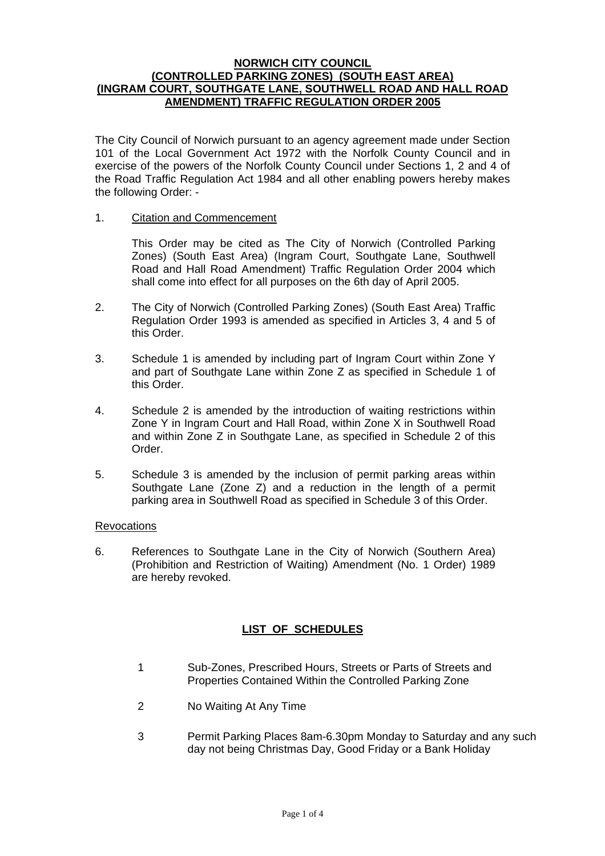## **NORWICH CITY COUNCIL (CONTROLLED PARKING ZONES) (SOUTH EAST AREA) (INGRAM COURT, SOUTHGATE LANE, SOUTHWELL ROAD AND HALL ROAD AMENDMENT) TRAFFIC REGULATION ORDER 2005**

The City Council of Norwich pursuant to an agency agreement made under Section 101 of the Local Government Act 1972 with the Norfolk County Council and in exercise of the powers of the Norfolk County Council under Sections 1, 2 and 4 of the Road Traffic Regulation Act 1984 and all other enabling powers hereby makes the following Order: -

## 1. Citation and Commencement

This Order may be cited as The City of Norwich (Controlled Parking Zones) (South East Area) (Ingram Court, Southgate Lane, Southwell Road and Hall Road Amendment) Traffic Regulation Order 2004 which shall come into effect for all purposes on the 6th day of April 2005.

- 2. The City of Norwich (Controlled Parking Zones) (South East Area) Traffic Regulation Order 1993 is amended as specified in Articles 3, 4 and 5 of this Order.
- 3. Schedule 1 is amended by including part of Ingram Court within Zone Y and part of Southgate Lane within Zone Z as specified in Schedule 1 of this Order.
- 4. Schedule 2 is amended by the introduction of waiting restrictions within Zone Y in Ingram Court and Hall Road, within Zone X in Southwell Road and within Zone Z in Southgate Lane, as specified in Schedule 2 of this Order.
- 5. Schedule 3 is amended by the inclusion of permit parking areas within Southgate Lane (Zone Z) and a reduction in the length of a permit parking area in Southwell Road as specified in Schedule 3 of this Order.

### **Revocations**

6. References to Southgate Lane in the City of Norwich (Southern Area) (Prohibition and Restriction of Waiting) Amendment (No. 1 Order) 1989 are hereby revoked.

# **LIST OF SCHEDULES**

- 1 Sub-Zones, Prescribed Hours, Streets or Parts of Streets and Properties Contained Within the Controlled Parking Zone
- 2 No Waiting At Any Time
- 3 Permit Parking Places 8am-6.30pm Monday to Saturday and any such day not being Christmas Day, Good Friday or a Bank Holiday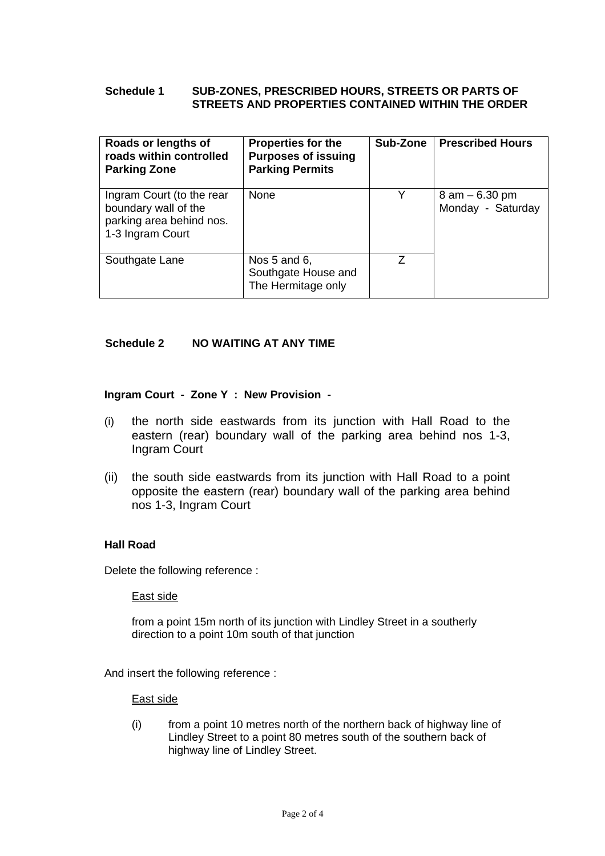# **Schedule 1 SUB-ZONES, PRESCRIBED HOURS, STREETS OR PARTS OF STREETS AND PROPERTIES CONTAINED WITHIN THE ORDER**

| Roads or lengths of<br>roads within controlled<br><b>Parking Zone</b>                             | <b>Properties for the</b><br><b>Purposes of issuing</b><br><b>Parking Permits</b> | Sub-Zone | <b>Prescribed Hours</b>                |
|---------------------------------------------------------------------------------------------------|-----------------------------------------------------------------------------------|----------|----------------------------------------|
| Ingram Court (to the rear<br>boundary wall of the<br>parking area behind nos.<br>1-3 Ingram Court | None                                                                              | Y        | $8$ am $-6.30$ pm<br>Monday - Saturday |
| Southgate Lane                                                                                    | Nos $5$ and $6$ ,<br>Southgate House and<br>The Hermitage only                    | 7        |                                        |

# **Schedule 2 NO WAITING AT ANY TIME**

### **Ingram Court - Zone Y : New Provision -**

- (i) the north side eastwards from its junction with Hall Road to the eastern (rear) boundary wall of the parking area behind nos 1-3, Ingram Court
- (ii) the south side eastwards from its junction with Hall Road to a point opposite the eastern (rear) boundary wall of the parking area behind nos 1-3, Ingram Court

# **Hall Road**

Delete the following reference :

#### East side

from a point 15m north of its junction with Lindley Street in a southerly direction to a point 10m south of that junction

And insert the following reference :

### East side

(i) from a point 10 metres north of the northern back of highway line of Lindley Street to a point 80 metres south of the southern back of highway line of Lindley Street.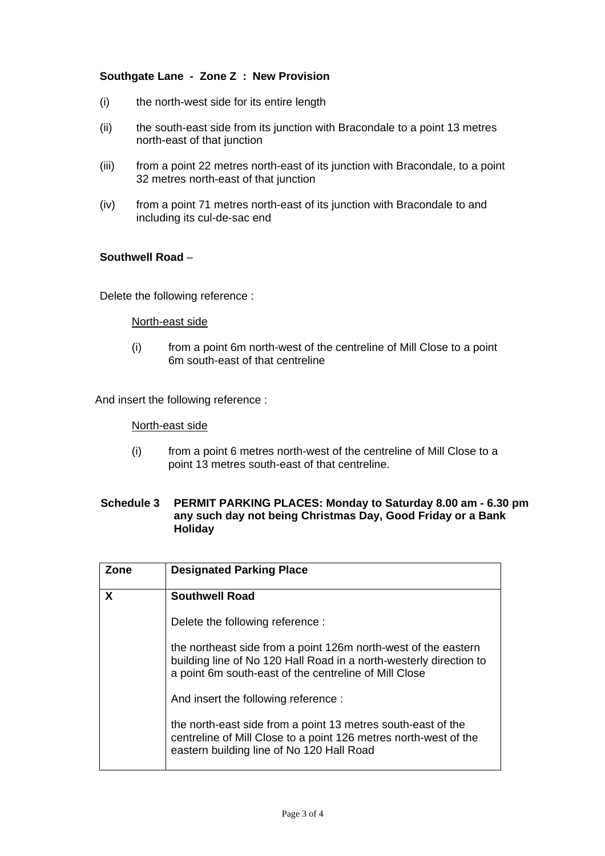# **Southgate Lane - Zone Z : New Provision**

- (i) the north-west side for its entire length
- (ii) the south-east side from its junction with Bracondale to a point 13 metres north-east of that junction
- (iii) from a point 22 metres north-east of its junction with Bracondale, to a point 32 metres north-east of that junction
- (iv) from a point 71 metres north-east of its junction with Bracondale to and including its cul-de-sac end

## **Southwell Road** –

Delete the following reference :

#### North-east side

(i) from a point 6m north-west of the centreline of Mill Close to a point 6m south-east of that centreline

And insert the following reference :

North-east side

(i) from a point 6 metres north-west of the centreline of Mill Close to a point 13 metres south-east of that centreline.

# **Schedule 3 PERMIT PARKING PLACES: Monday to Saturday 8.00 am - 6.30 pm any such day not being Christmas Day, Good Friday or a Bank Holiday**

| Zone | <b>Designated Parking Place</b>                                                                                                                                                               |
|------|-----------------------------------------------------------------------------------------------------------------------------------------------------------------------------------------------|
| X    | <b>Southwell Road</b>                                                                                                                                                                         |
|      | Delete the following reference :                                                                                                                                                              |
|      | the northeast side from a point 126m north-west of the eastern<br>building line of No 120 Hall Road in a north-westerly direction to<br>a point 6m south-east of the centreline of Mill Close |
|      | And insert the following reference:                                                                                                                                                           |
|      | the north-east side from a point 13 metres south-east of the<br>centreline of Mill Close to a point 126 metres north-west of the<br>eastern building line of No 120 Hall Road                 |